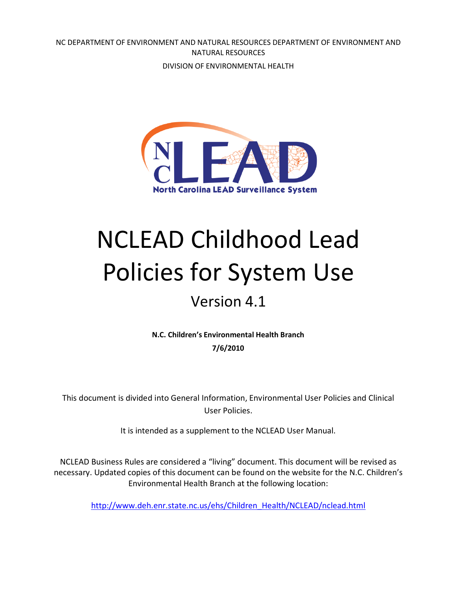NC DEPARTMENT OF ENVIRONMENT AND NATURAL RESOURCES DEPARTMENT OF ENVIRONMENT AND NATURAL RESOURCES

DIVISION OF ENVIRONMENTAL HEALTH



# NCLEAD Childhood Lead Policies for System Use

### Version 4.1

**N.C. Children's Environmental Health Branch 7/6/2010**

This document is divided into General Information, Environmental User Policies and Clinical User Policies.

It is intended as a supplement to the NCLEAD User Manual.

NCLEAD Business Rules are considered a "living" document. This document will be revised as necessary. Updated copies of this document can be found on the website for the N.C. Children's Environmental Health Branch at the following location:

[http://www.deh.enr.state.nc.us/ehs/Children\\_Health/NCLEAD/nclead.html](http://www.deh.enr.state.nc.us/ehs/Children_Health/NCLEAD/nclead.html)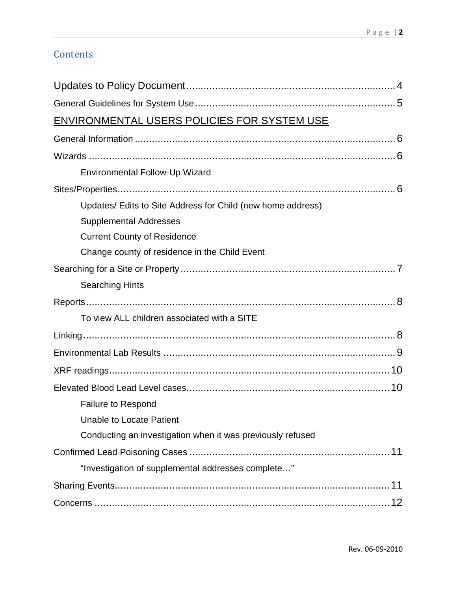#### **Contents**

| ENVIRONMENTAL USERS POLICIES FOR SYSTEM USE                 |  |
|-------------------------------------------------------------|--|
|                                                             |  |
|                                                             |  |
| Environmental Follow-Up Wizard                              |  |
|                                                             |  |
| Updates/ Edits to Site Address for Child (new home address) |  |
| <b>Supplemental Addresses</b>                               |  |
| <b>Current County of Residence</b>                          |  |
| Change county of residence in the Child Event               |  |
|                                                             |  |
| <b>Searching Hints</b>                                      |  |
|                                                             |  |
| To view ALL children associated with a SITE                 |  |
|                                                             |  |
|                                                             |  |
|                                                             |  |
|                                                             |  |
| <b>Failure to Respond</b>                                   |  |
| <b>Unable to Locate Patient</b>                             |  |
| Conducting an investigation when it was previously refused  |  |
|                                                             |  |
| "Investigation of supplemental addresses complete"          |  |
|                                                             |  |
|                                                             |  |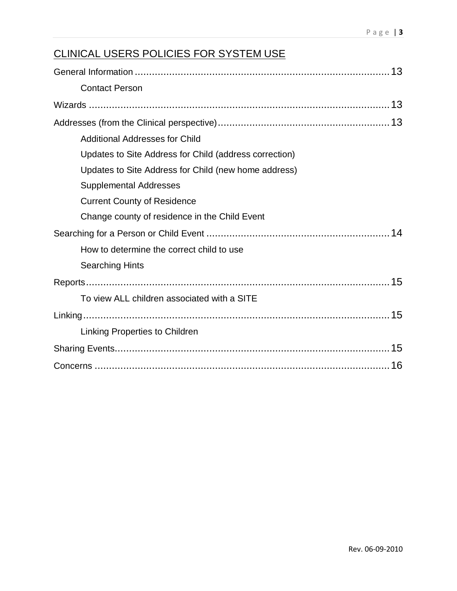### CLINICAL USERS POLICIES FOR SYSTEM USE

| <b>Contact Person</b>                                  |
|--------------------------------------------------------|
|                                                        |
|                                                        |
| <b>Additional Addresses for Child</b>                  |
| Updates to Site Address for Child (address correction) |
| Updates to Site Address for Child (new home address)   |
| <b>Supplemental Addresses</b>                          |
| <b>Current County of Residence</b>                     |
| Change county of residence in the Child Event          |
|                                                        |
| How to determine the correct child to use              |
| <b>Searching Hints</b>                                 |
|                                                        |
| To view ALL children associated with a SITE            |
|                                                        |
| Linking Properties to Children                         |
|                                                        |
|                                                        |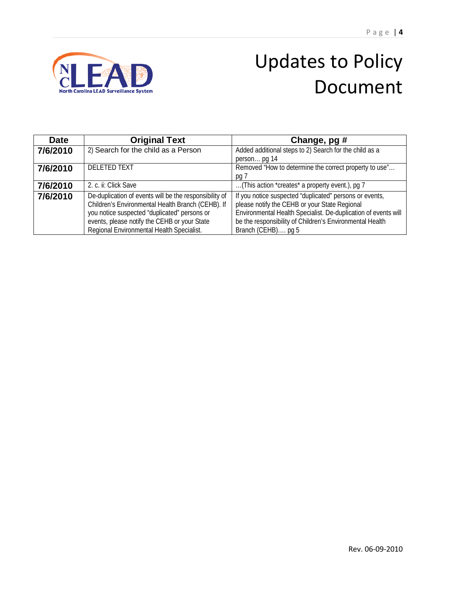

### Updates to Policy Document

<span id="page-3-0"></span>

| <b>Date</b> | <b>Original Text</b>                                                                                                                                        | Change, pg #                                                                                                                                                               |
|-------------|-------------------------------------------------------------------------------------------------------------------------------------------------------------|----------------------------------------------------------------------------------------------------------------------------------------------------------------------------|
| 7/6/2010    | 2) Search for the child as a Person                                                                                                                         | Added additional steps to 2) Search for the child as a                                                                                                                     |
|             |                                                                                                                                                             | person pg 14                                                                                                                                                               |
| 7/6/2010    | <b>DELETED TEXT</b>                                                                                                                                         | Removed "How to determine the correct property to use"                                                                                                                     |
|             |                                                                                                                                                             | pg 7                                                                                                                                                                       |
| 7/6/2010    | 2. c. ii: Click Save                                                                                                                                        | (This action *creates* a property event.), pg 7                                                                                                                            |
| 7/6/2010    | De-duplication of events will be the responsibility of<br>Children's Environmental Health Branch (CEHB). If<br>you notice suspected "duplicated" persons or | If you notice suspected "duplicated" persons or events,<br>please notify the CEHB or your State Regional<br>Environmental Health Specialist. De-duplication of events will |
|             | events, please notify the CEHB or your State<br>Regional Environmental Health Specialist.                                                                   | be the responsibility of Children's Environmental Health<br>Branch (CEHB) pg 5                                                                                             |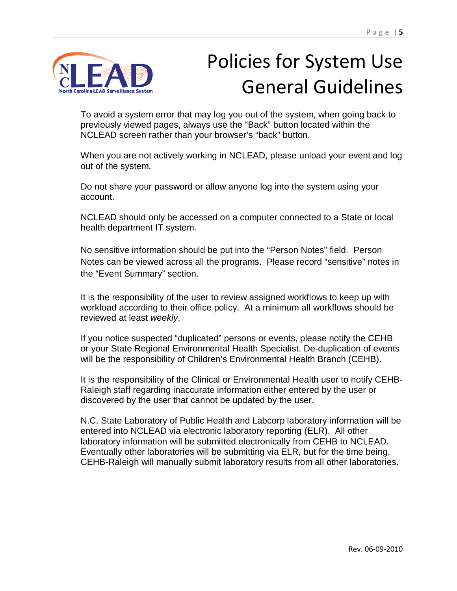

## Policies for System Use General Guidelines

To avoid a system error that may log you out of the system, when going back to previously viewed pages, always use the "Back" button located within the NCLEAD screen rather than your browser's "back" button.

When you are not actively working in NCLEAD, please unload your event and log out of the system.

Do not share your password or allow anyone log into the system using your account.

NCLEAD should only be accessed on a computer connected to a State or local health department IT system.

No sensitive information should be put into the "Person Notes" field. Person Notes can be viewed across all the programs. Please record "sensitive" notes in the "Event Summary" section.

It is the responsibility of the user to review assigned workflows to keep up with workload according to their office policy. At a minimum all workflows should be reviewed at least *weekly*.

<span id="page-4-0"></span>If you notice suspected "duplicated" persons or events, please notify the CEHB or your State Regional Environmental Health Specialist. De-duplication of events will be the responsibility of Children's Environmental Health Branch (CEHB).

It is the responsibility of the Clinical or Environmental Health user to notify CEHB-Raleigh staff regarding inaccurate information either entered by the user or discovered by the user that cannot be updated by the user.

N.C. State Laboratory of Public Health and Labcorp laboratory information will be entered into NCLEAD via electronic laboratory reporting (ELR). All other laboratory information will be submitted electronically from CEHB to NCLEAD. Eventually other laboratories will be submitting via ELR, but for the time being, CEHB-Raleigh will manually submit laboratory results from all other laboratories.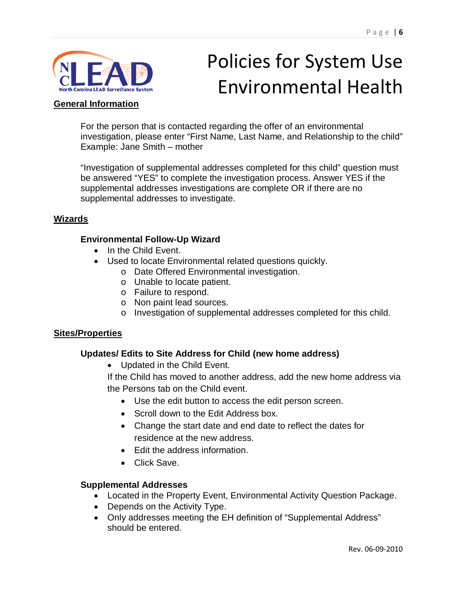

## Policies for System Use Environmental Health

#### <span id="page-5-0"></span>**General Information**

For the person that is contacted regarding the offer of an environmental investigation, please enter "First Name, Last Name, and Relationship to the child" Example: Jane Smith – mother

"Investigation of supplemental addresses completed for this child" question must be answered "YES" to complete the investigation process. Answer YES if the supplemental addresses investigations are complete OR if there are no supplemental addresses to investigate.

#### <span id="page-5-2"></span><span id="page-5-1"></span>**Wizards**

#### **Environmental Follow-Up Wizard**

- In the Child Event.
- Used to locate Environmental related questions quickly.
	- o Date Offered Environmental investigation.
	- o Unable to locate patient.
	- o Failure to respond.
	- o Non paint lead sources.
	- o Investigation of supplemental addresses completed for this child.

#### <span id="page-5-4"></span><span id="page-5-3"></span>**Sites/Properties**

#### **Updates/ Edits to Site Address for Child (new home address)**

• Updated in the Child Event.

If the Child has moved to another address, add the new home address via the Persons tab on the Child event.

- Use the edit button to access the edit person screen.
- Scroll down to the Edit Address box.
- Change the start date and end date to reflect the dates for residence at the new address.
- Edit the address information.
- Click Save.

#### <span id="page-5-5"></span>**Supplemental Addresses**

- Located in the Property Event, Environmental Activity Question Package.
- Depends on the Activity Type.
- Only addresses meeting the EH definition of "Supplemental Address" should be entered.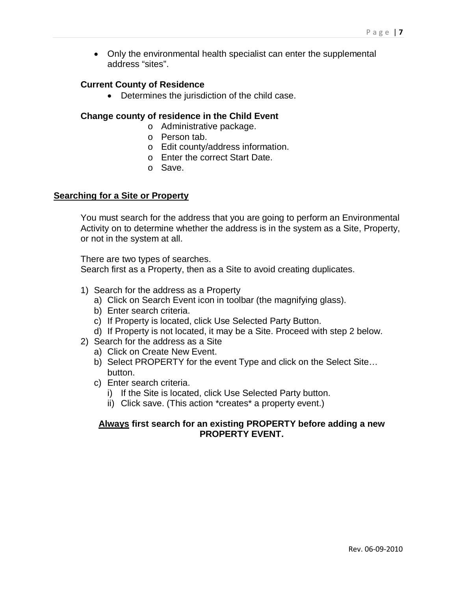• Only the environmental health specialist can enter the supplemental address "sites".

#### <span id="page-6-0"></span>**Current County of Residence**

• Determines the jurisdiction of the child case.

#### <span id="page-6-1"></span>**Change county of residence in the Child Event**

- o Administrative package.
- o Person tab.
- o Edit county/address information.
- o Enter the correct Start Date.
- o Save.

#### <span id="page-6-2"></span>**Searching for a Site or Property**

You must search for the address that you are going to perform an Environmental Activity on to determine whether the address is in the system as a Site, Property, or not in the system at all.

There are two types of searches.

Search first as a Property, then as a Site to avoid creating duplicates.

- 1) Search for the address as a Property
	- a) Click on Search Event icon in toolbar (the magnifying glass).
	- b) Enter search criteria.
	- c) If Property is located, click Use Selected Party Button.
	- d) If Property is not located, it may be a Site. Proceed with step 2 below.
- 2) Search for the address as a Site
	- a) Click on Create New Event.
	- b) Select PROPERTY for the event Type and click on the Select Site… button.
	- c) Enter search criteria.
		- i) If the Site is located, click Use Selected Party button.
		- ii) Click save. (This action \*creates\* a property event.)

#### <span id="page-6-4"></span><span id="page-6-3"></span>**Always first search for an existing PROPERTY before adding a new PROPERTY EVENT.**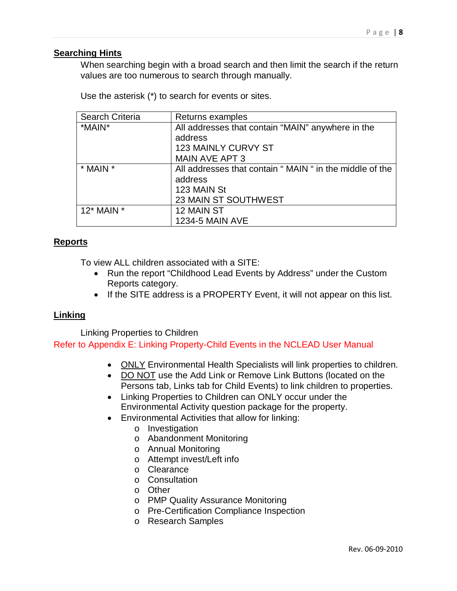#### **Searching Hints**

When searching begin with a broad search and then limit the search if the return values are too numerous to search through manually.

Use the asterisk (\*) to search for events or sites.

| Search Criteria | Returns examples                                         |
|-----------------|----------------------------------------------------------|
| *MAIN*          | All addresses that contain "MAIN" anywhere in the        |
|                 | address                                                  |
|                 | <b>123 MAINLY CURVY ST</b>                               |
|                 | <b>MAIN AVE APT 3</b>                                    |
| * MAIN *        | All addresses that contain " MAIN " in the middle of the |
|                 | address                                                  |
|                 | 123 MAIN St                                              |
|                 | 23 MAIN ST SOUTHWEST                                     |
| $12*$ MAIN $*$  | 12 MAIN ST                                               |
|                 | <b>1234-5 MAIN AVE</b>                                   |

#### <span id="page-7-1"></span><span id="page-7-0"></span>**Reports**

To view ALL children associated with a SITE:

- Run the report "Childhood Lead Events by Address" under the Custom Reports category.
- If the SITE address is a PROPERTY Event, it will not appear on this list.

#### <span id="page-7-2"></span>**Linking**

Linking Properties to Children Refer to Appendix E: Linking Property-Child Events in the NCLEAD User Manual

- ONLY Environmental Health Specialists will link properties to children.
- DO NOT use the Add Link or Remove Link Buttons (located on the Persons tab, Links tab for Child Events) to link children to properties.
- Linking Properties to Children can ONLY occur under the Environmental Activity question package for the property.
- Environmental Activities that allow for linking:
	- o Investigation
	- o Abandonment Monitoring
	- o Annual Monitoring
	- o Attempt invest/Left info
	- o Clearance
	- o Consultation
	- o Other
	- o PMP Quality Assurance Monitoring
	- o Pre-Certification Compliance Inspection
	- o Research Samples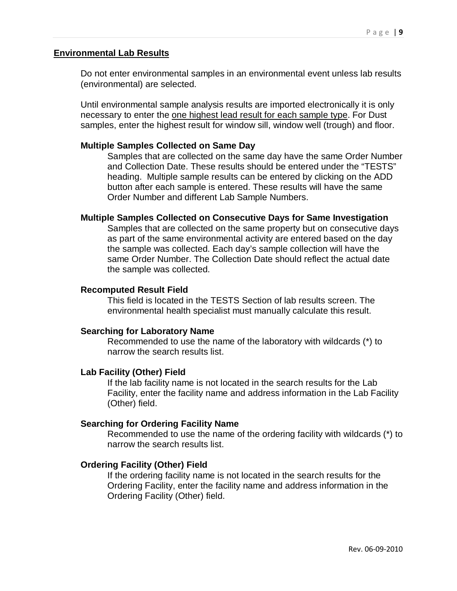#### <span id="page-8-0"></span>**Environmental Lab Results**

Do not enter environmental samples in an environmental event unless lab results (environmental) are selected.

Until environmental sample analysis results are imported electronically it is only necessary to enter the one highest lead result for each sample type. For Dust samples, enter the highest result for window sill, window well (trough) and floor.

#### **Multiple Samples Collected on Same Day**

Samples that are collected on the same day have the same Order Number and Collection Date. These results should be entered under the "TESTS" heading. Multiple sample results can be entered by clicking on the ADD button after each sample is entered. These results will have the same Order Number and different Lab Sample Numbers.

#### **Multiple Samples Collected on Consecutive Days for Same Investigation**

Samples that are collected on the same property but on consecutive days as part of the same environmental activity are entered based on the day the sample was collected. Each day's sample collection will have the same Order Number. The Collection Date should reflect the actual date the sample was collected.

#### **Recomputed Result Field**

This field is located in the TESTS Section of lab results screen. The environmental health specialist must manually calculate this result.

#### **Searching for Laboratory Name**

Recommended to use the name of the laboratory with wildcards (\*) to narrow the search results list.

#### **Lab Facility (Other) Field**

If the lab facility name is not located in the search results for the Lab Facility, enter the facility name and address information in the Lab Facility (Other) field.

#### **Searching for Ordering Facility Name**

Recommended to use the name of the ordering facility with wildcards (\*) to narrow the search results list.

#### **Ordering Facility (Other) Field**

If the ordering facility name is not located in the search results for the Ordering Facility, enter the facility name and address information in the Ordering Facility (Other) field.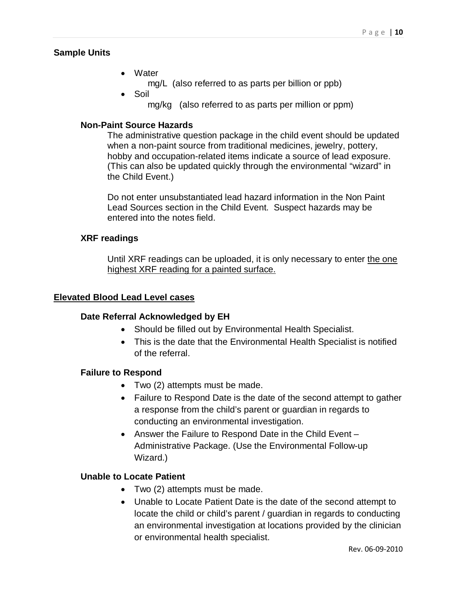#### **Sample Units**

- Water
	- mg/L (also referred to as parts per billion or ppb)
- Soil
	- mg/kg (also referred to as parts per million or ppm)

#### **Non-Paint Source Hazards**

The administrative question package in the child event should be updated when a non-paint source from traditional medicines, jewelry, pottery, hobby and occupation-related items indicate a source of lead exposure. (This can also be updated quickly through the environmental "wizard" in the Child Event.)

Do not enter unsubstantiated lead hazard information in the Non Paint Lead Sources section in the Child Event. Suspect hazards may be entered into the notes field.

#### <span id="page-9-0"></span>**XRF readings**

Until XRF readings can be uploaded, it is only necessary to enter the one highest XRF reading for a painted surface.

#### <span id="page-9-2"></span><span id="page-9-1"></span>**Elevated Blood Lead Level cases**

#### **Date Referral Acknowledged by EH**

- Should be filled out by Environmental Health Specialist.
- This is the date that the Environmental Health Specialist is notified of the referral.

#### **Failure to Respond**

- Two (2) attempts must be made.
- Failure to Respond Date is the date of the second attempt to gather a response from the child's parent or guardian in regards to conducting an environmental investigation.
- Answer the Failure to Respond Date in the Child Event Administrative Package. (Use the Environmental Follow-up Wizard.)

#### <span id="page-9-3"></span>**Unable to Locate Patient**

- Two (2) attempts must be made.
- Unable to Locate Patient Date is the date of the second attempt to locate the child or child's parent / guardian in regards to conducting an environmental investigation at locations provided by the clinician or environmental health specialist.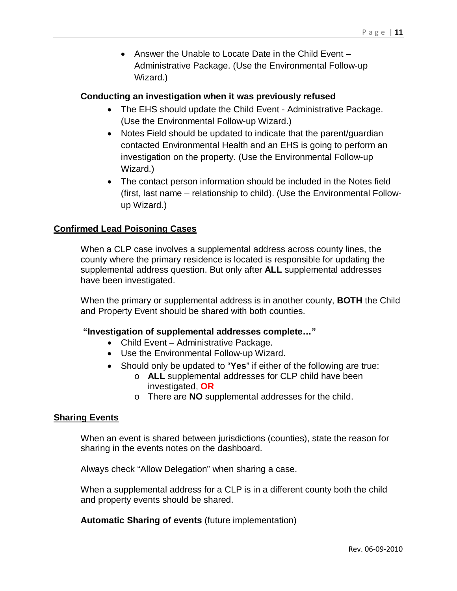• Answer the Unable to Locate Date in the Child Event – Administrative Package. (Use the Environmental Follow-up Wizard.)

#### <span id="page-10-0"></span>**Conducting an investigation when it was previously refused**

- The EHS should update the Child Event Administrative Package. (Use the Environmental Follow-up Wizard.)
- Notes Field should be updated to indicate that the parent/quardian contacted Environmental Health and an EHS is going to perform an investigation on the property. (Use the Environmental Follow-up Wizard.)
- The contact person information should be included in the Notes field (first, last name – relationship to child). (Use the Environmental Followup Wizard.)

#### <span id="page-10-1"></span>**Confirmed Lead Poisoning Cases**

When a CLP case involves a supplemental address across county lines, the county where the primary residence is located is responsible for updating the supplemental address question. But only after **ALL** supplemental addresses have been investigated.

When the primary or supplemental address is in another county, **BOTH** the Child and Property Event should be shared with both counties.

#### <span id="page-10-2"></span>**"Investigation of supplemental addresses complete…"**

- Child Event Administrative Package.
- Use the Environmental Follow-up Wizard.
- Should only be updated to "**Yes**" if either of the following are true:
	- o **ALL** supplemental addresses for CLP child have been investigated, **OR**
	- o There are **NO** supplemental addresses for the child.

#### <span id="page-10-3"></span>**Sharing Events**

When an event is shared between jurisdictions (counties), state the reason for sharing in the events notes on the dashboard.

Always check "Allow Delegation" when sharing a case.

When a supplemental address for a CLP is in a different county both the child and property events should be shared.

**Automatic Sharing of events** (future implementation)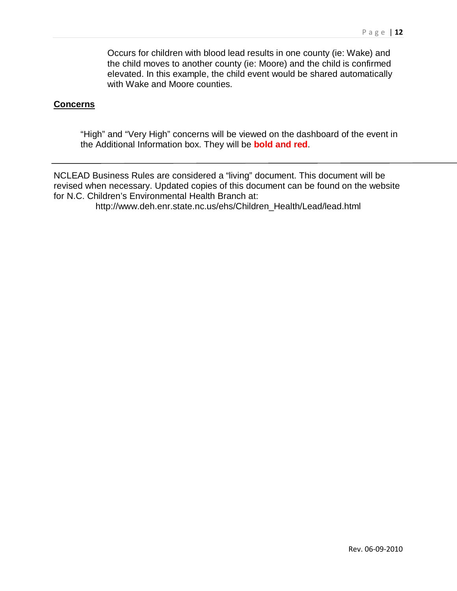Occurs for children with blood lead results in one county (ie: Wake) and the child moves to another county (ie: Moore) and the child is confirmed elevated. In this example, the child event would be shared automatically with Wake and Moore counties.

#### <span id="page-11-0"></span>**Concerns**

"High" and "Very High" concerns will be viewed on the dashboard of the event in the Additional Information box. They will be **bold and red**.

NCLEAD Business Rules are considered a "living" document. This document will be revised when necessary. Updated copies of this document can be found on the website for N.C. Children's Environmental Health Branch at:

http://www.deh.enr.state.nc.us/ehs/Children\_Health/Lead/lead.html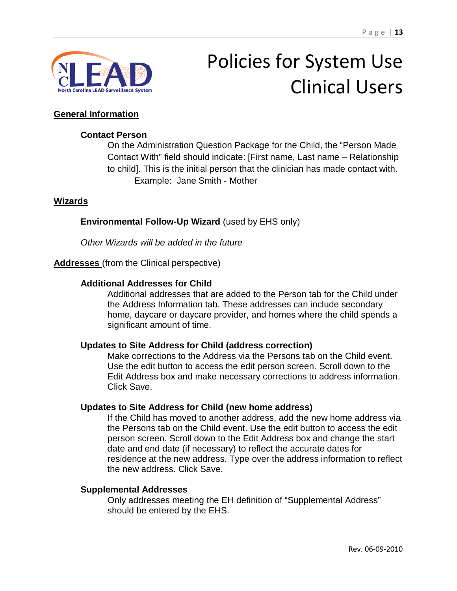

## Policies for System Use Clinical Users

#### <span id="page-12-1"></span><span id="page-12-0"></span>**General Information**

#### **Contact Person**

On the Administration Question Package for the Child, the "Person Made Contact With" field should indicate: [First name, Last name – Relationship to child]. This is the initial person that the clinician has made contact with. Example: Jane Smith - Mother

#### <span id="page-12-2"></span>**Wizards**

#### **Environmental Follow-Up Wizard** (used by EHS only)

*Other Wizards will be added in the future*

#### <span id="page-12-4"></span><span id="page-12-3"></span>**Addresses** (from the Clinical perspective)

#### **Additional Addresses for Child**

Additional addresses that are added to the Person tab for the Child under the Address Information tab. These addresses can include secondary home, daycare or daycare provider, and homes where the child spends a significant amount of time.

#### <span id="page-12-5"></span>**Updates to Site Address for Child (address correction)**

Make corrections to the Address via the Persons tab on the Child event. Use the edit button to access the edit person screen. Scroll down to the Edit Address box and make necessary corrections to address information. Click Save.

#### <span id="page-12-6"></span>**Updates to Site Address for Child (new home address)**

If the Child has moved to another address, add the new home address via the Persons tab on the Child event. Use the edit button to access the edit person screen. Scroll down to the Edit Address box and change the start date and end date (if necessary) to reflect the accurate dates for residence at the new address. Type over the address information to reflect the new address. Click Save.

#### <span id="page-12-7"></span>**Supplemental Addresses**

Only addresses meeting the EH definition of "Supplemental Address" should be entered by the EHS.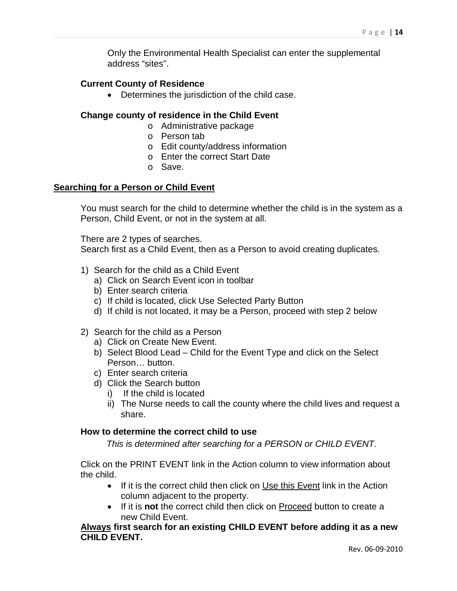Only the Environmental Health Specialist can enter the supplemental address "sites".

#### <span id="page-13-0"></span>**Current County of Residence**

• Determines the jurisdiction of the child case.

#### <span id="page-13-1"></span>**Change county of residence in the Child Event**

- o Administrative package
- o Person tab
- o Edit county/address information
- o Enter the correct Start Date
- o Save.

#### <span id="page-13-2"></span>**Searching for a Person or Child Event**

You must search for the child to determine whether the child is in the system as a Person, Child Event, or not in the system at all.

There are 2 types of searches.

Search first as a Child Event, then as a Person to avoid creating duplicates.

- 1) Search for the child as a Child Event
	- a) Click on Search Event icon in toolbar
	- b) Enter search criteria
	- c) If child is located, click Use Selected Party Button
	- d) If child is not located, it may be a Person, proceed with step 2 below
- 2) Search for the child as a Person
	- a) Click on Create New Event.
	- b) Select Blood Lead Child for the Event Type and click on the Select Person… button.
	- c) Enter search criteria
	- d) Click the Search button
		- i) If the child is located
		- ii) The Nurse needs to call the county where the child lives and request a share.

#### <span id="page-13-4"></span><span id="page-13-3"></span>**How to determine the correct child to use**

*This is determined after searching for a PERSON or CHILD EVENT.*

Click on the PRINT EVENT link in the Action column to view information about the child.

- If it is the correct child then click on Use this Event link in the Action column adjacent to the property.
- If it is **not** the correct child then click on Proceed button to create a new Child Event.

**Always first search for an existing CHILD EVENT before adding it as a new CHILD EVENT.**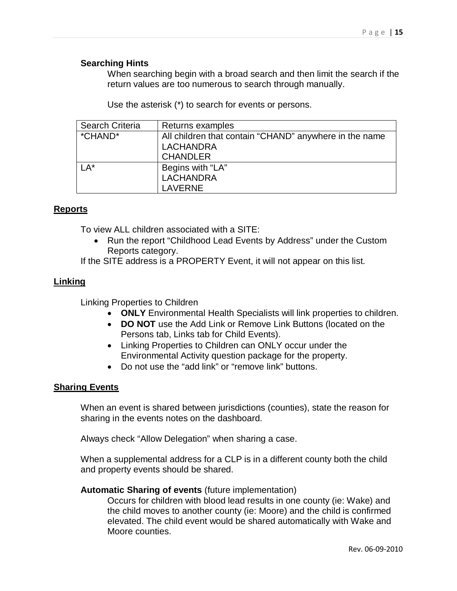#### <span id="page-14-0"></span>**Searching Hints**

When searching begin with a broad search and then limit the search if the return values are too numerous to search through manually.

Use the asterisk (\*) to search for events or persons.

| Search Criteria | Returns examples                                       |
|-----------------|--------------------------------------------------------|
| *CHAND*         | All children that contain "CHAND" anywhere in the name |
|                 | <b>LACHANDRA</b>                                       |
|                 | <b>CHANDLER</b>                                        |
| $LA*$           | Begins with "LA"                                       |
|                 | <b>LACHANDRA</b>                                       |
|                 | <b>LAVERNE</b>                                         |

#### <span id="page-14-2"></span><span id="page-14-1"></span>**Reports**

To view ALL children associated with a SITE:

- Run the report "Childhood Lead Events by Address" under the Custom Reports category.
- If the SITE address is a PROPERTY Event, it will not appear on this list.

#### <span id="page-14-4"></span><span id="page-14-3"></span>**Linking**

Linking Properties to Children

- **ONLY** Environmental Health Specialists will link properties to children.
- **DO NOT** use the Add Link or Remove Link Buttons (located on the Persons tab, Links tab for Child Events).
- Linking Properties to Children can ONLY occur under the Environmental Activity question package for the property.
- Do not use the "add link" or "remove link" buttons.

#### <span id="page-14-5"></span>**Sharing Events**

When an event is shared between jurisdictions (counties), state the reason for sharing in the events notes on the dashboard.

Always check "Allow Delegation" when sharing a case.

When a supplemental address for a CLP is in a different county both the child and property events should be shared.

#### **Automatic Sharing of events** (future implementation)

Occurs for children with blood lead results in one county (ie: Wake) and the child moves to another county (ie: Moore) and the child is confirmed elevated. The child event would be shared automatically with Wake and Moore counties.